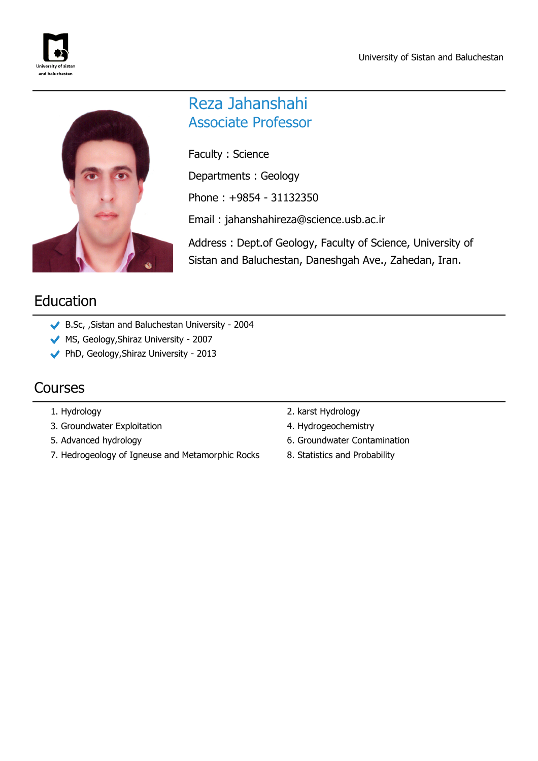



# Reza Jahanshahi Associate Professor

Faculty : Science Departments : Geology Phone : +9854 - 31132350 Email : jahanshahireza@science.usb.ac.ir Address : Dept.of Geology, Faculty of Science, University of

Sistan and Baluchestan, Daneshgah Ave., Zahedan, Iran.

# Education

- B.Sc, ,Sistan and Baluchestan University 2004
- MS, Geology, Shiraz University 2007
- PhD, Geology,Shiraz University 2013

# Courses

- 
- 3. Groundwater Exploitation **4. Hydrogeochemistry**
- 
- 7. Hedrogeology of Igneuse and Metamorphic Rocks 8. Statistics and Probability
- 1. Hydrology 2. karst Hydrology
	-
- 5. Advanced hydrology 6. Groundwater Contamination
	-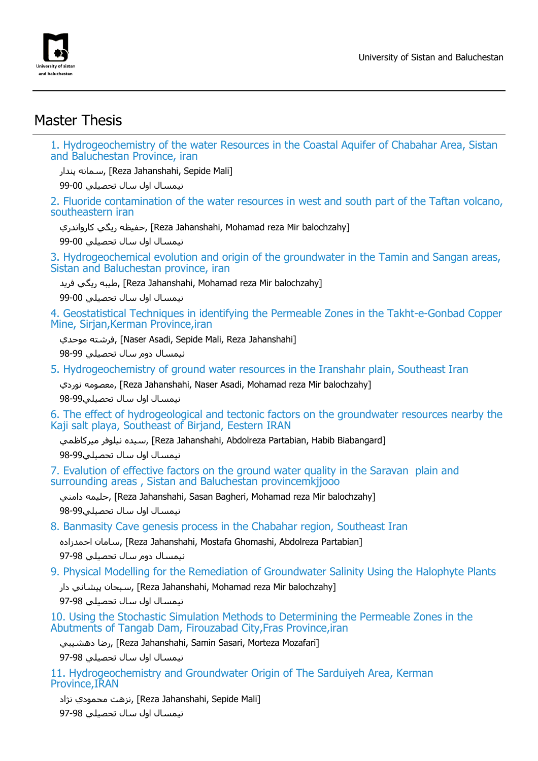

# Master Thesis

1. Hydrogeochemistry of the water Resources in the Coastal Aquifer of Chabahar Area, Sistan and Baluchestan Province, iran

سمانه يندار, [Reza Jahanshahi, Sepide Mali]

نيمسال اول سال تحصيلي 99-00

2. Fluoride contamination of the water resources in west and south part of the Taftan volcano, southeastern iran

حفيظه ريگي كارواندري, [Reza Jahanshahi, Mohamad reza Mir balochzahy]

نيمسال اول سال تحصيلي 99-00

3. Hydrogeochemical evolution and origin of the groundwater in the Tamin and Sangan areas, Sistan and Baluchestan province, iran

فريد ريگي طيبه,] Reza Jahanshahi, Mohamad reza Mir balochzahy]

نيمسال اول سال تحصيلي 99-00

4. Geostatistical Techniques in identifying the Permeable Zones in the Takht-e-Gonbad Copper Mine, Sirjan,Kerman Province,iran

فرشته موحدي, [Naser Asadi, Sepide Mali, Reza Jahanshahi]

نيمسال دوم سال تحصيلي 98-99

5. Hydrogeochemistry of ground water resources in the Iranshahr plain, Southeast Iran

معصومه نوردي, [Reza Jahanshahi, Naser Asadi, Mohamad reza Mir balochzahy]

نيمسال اول سال تحصيلي98-99

6. The effect of hydrogeological and tectonic factors on the groundwater resources nearby the Kaji salt playa, Southeast of Birjand, Eestern IRAN

ميده نيلوفر ميركاظمي, [Reza Jahanshahi, Abdolreza Partabian, Habib Biabangard]

نيمسال اول سال تحصيلي98-99

7. Evalution of effective factors on the ground water quality in the Saravan plain and surrounding areas , Sistan and Baluchestan provincemkjjooo

حليمه دامني, [Reza Jahanshahi, Sasan Bagheri, Mohamad reza Mir balochzahy] نيمسال اول سال تحصيلي98-99

8. Banmasity Cave genesis process in the Chabahar region, Southeast Iran

سامان احمدزاده, [Reza Jahanshahi, Mostafa Ghomashi, Abdolreza Partabian]

نيمسال دوم سال تحصيلي 97-98

9. Physical Modelling for the Remediation of Groundwater Salinity Using the Halophyte Plants

سبحان پيشاني دار, [Reza Jahanshahi, Mohamad reza Mir balochzahy]

نيمسال اول سال تحصيلي 97-98

10. Using the Stochastic Simulation Methods to Determining the Permeable Zones in the Abutments of Tangab Dam, Firouzabad City,Fras Province,iran

رضا دهشيبي, [Reza Jahanshahi, Samin Sasari, Morteza Mozafari]

نيمسال اول سال تحصيلي 97-98

11. Hydrogeochemistry and Groundwater Origin of The Sarduiyeh Area, Kerman Province,IRAN

نزهت محمودي نژاد [Reza Jahanshahi, Sepide Mali]

نيمسال اول سال تحصيلي 97-98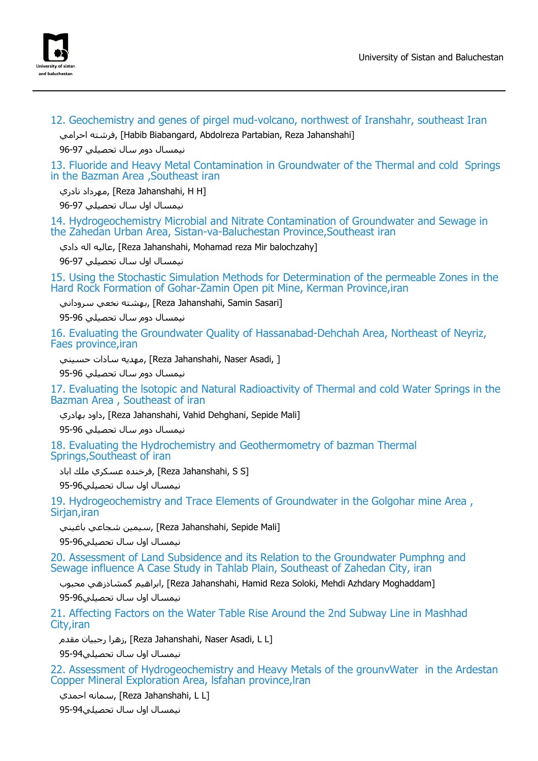

12. Geochemistry and genes of pirgel mud-volcano, northwest of Iranshahr, southeast Iran

احرامي فرشته,] Habib Biabangard, Abdolreza Partabian, Reza Jahanshahi]

نيمسال دوم سال تحصيلي 96-97

13. Fluoride and Heavy Metal Contamination in Groundwater of the Thermal and cold Springs in the Bazman Area , Southeast iran

مهرداد نادري, [Reza Jahanshahi, H H]

نيمسال اول سال تحصيلي 96-97

14. Hydrogeochemistry Microbial and Nitrate Contamination of Groundwater and Sewage in the Zahedan Urban Area, Sistan-va-Baluchestan Province,Southeast iran

دادي اله عاليه,] Reza Jahanshahi, Mohamad reza Mir balochzahy]

نيمسال اول سال تحصيلي 96-97

15. Using the Stochastic Simulation Methods for Determination of the permeable Zones in the Hard Rock Formation of Gohar-Zamin Open pit Mine, Kerman Province,iran

بهشته نخعي سروداني, [Reza Jahanshahi, Samin Sasari]

نيمسال دوم سال تحصيلي 95-96

16. Evaluating the Groundwater Quality of Hassanabad-Dehchah Area, Northeast of Neyriz, Faes province,iran

حسيني سادات مهديه,] Reza Jahanshahi, Naser Asadi, ]

نيمسال دوم سال تحصيلي 95-96

17. Evaluating the lsotopic and Natural Radioactivity of Thermal and cold Water Springs in the Bazman Area, Southeast of iran

بداود بهادري), [Reza Jahanshahi, Vahid Dehghani, Sepide Mali]

نيمسال دوم سال تحصيلي 95-96

18. Evaluating the Hydrochemistry and Geothermometry of bazman Thermal Springs,Southeast of iran

[S S ,Jahanshahi Reza [,فرخنده عسكري ملك اباد

نيمسال اول سال تحصيلي95-96

19. Hydrogeochemistry and Trace Elements of Groundwater in the Golgohar mine Area , Sirjan,iran

سيمين شجاعي باغيني, [Reza Jahanshahi, Sepide Mali]

نيمسال اول سال تحصيلي95-96

20. Assessment of Land Subsidence and its Relation to the Groundwater Pumphng and Sewage influence A Case Study in Tahlab Plain, Southeast of Zahedan City, iran

براهيم گمشادزهي محبوب J. Reza Jahanshahi, Hamid Reza Soloki, Mehdi Azhdary Moghaddam] نيمسال اول سال تحصيلي95-96

21. Affecting Factors on the Water Table Rise Around the 2nd Subway Line in Mashhad City,iran

مقدم; [Reza Jahanshahi, Naser Asadi, L L]

نيمسال اول سال تحصيلي95-94

22. Assessment of Hydrogeochemistry and Heavy Metals of the grounvWater in the Ardestan Copper Mineral Exploration Area, lsfahan province,lran

سمانه احمدي, [Reza Jahanshahi, L L] نيمسال اول سال تحصيلي95-94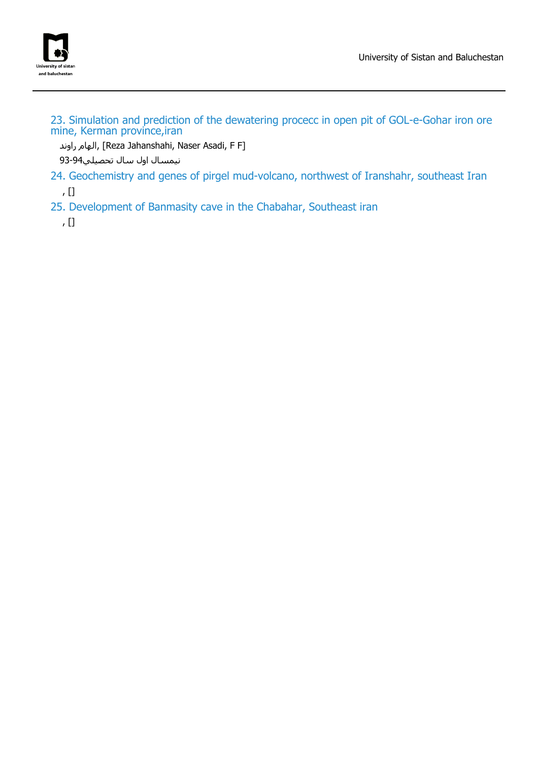

23. Simulation and prediction of the dewatering procecc in open pit of GOL-e-Gohar iron ore mine, Kerman province,iran

الهام راوند, [Reza Jahanshahi, Naser Asadi, F F]

نيمسال اول سال تحصيلي93-94

24. Geochemistry and genes of pirgel mud-volcano, northwest of Iranshahr, southeast Iran

, []

25. Development of Banmasity cave in the Chabahar, Southeast iran

, []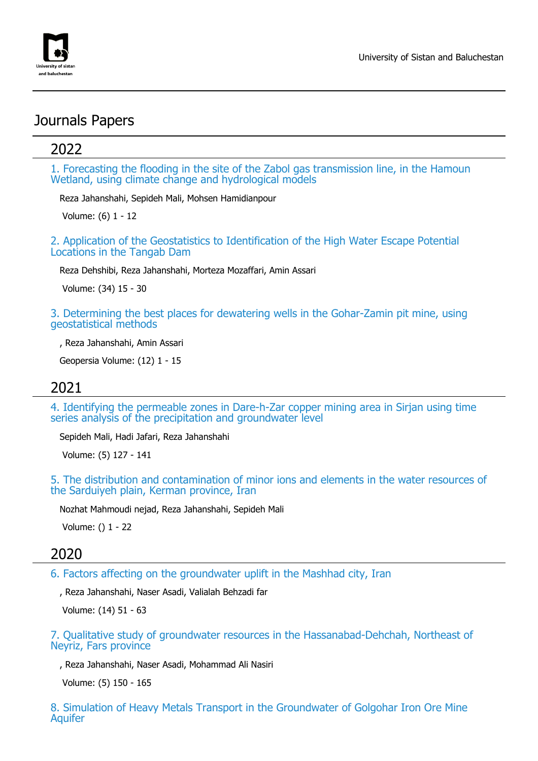

# Journals Papers

# 2022

1. Forecasting the flooding in the site of the Zabol gas transmission line, in the Hamoun Wetland, using climate change and hydrological models

Reza Jahanshahi, Sepideh Mali, Mohsen Hamidianpour

Volume: (6) 1 - 12

2. Application of the Geostatistics to Identification of the High Water Escape Potential Locations in the Tangab Dam

Reza Dehshibi, Reza Jahanshahi, Morteza Mozaffari, Amin Assari

Volume: (34) 15 - 30

3. Determining the best places for dewatering wells in the Gohar-Zamin pit mine, using geostatistical methods

, Reza Jahanshahi, Amin Assari

Geopersia Volume: (12) 1 - 15

### 2021

4. Identifying the permeable zones in Dare-h-Zar copper mining area in Sirjan using time series analysis of the precipitation and groundwater level

Sepideh Mali, Hadi Jafari, Reza Jahanshahi

Volume: (5) 127 - 141

5. The distribution and contamination of minor ions and elements in the water resources of the Sarduiyeh plain, Kerman province, Iran

Nozhat Mahmoudi nejad, Reza Jahanshahi, Sepideh Mali

Volume: () 1 - 22

### 2020

6. Factors affecting on the groundwater uplift in the Mashhad city, Iran

, Reza Jahanshahi, Naser Asadi, Valialah Behzadi far

Volume: (14) 51 - 63

7. Qualitative study of groundwater resources in the Hassanabad-Dehchah, Northeast of Neyriz, Fars province

, Reza Jahanshahi, Naser Asadi, Mohammad Ali Nasiri

Volume: (5) 150 - 165

8. Simulation of Heavy Metals Transport in the Groundwater of Golgohar Iron Ore Mine Aquifer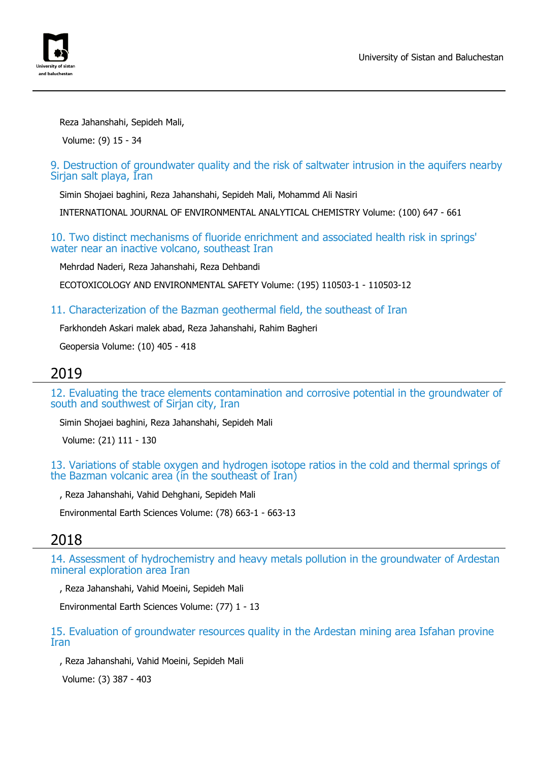



Reza Jahanshahi, Sepideh Mali,

Volume: (9) 15 - 34

9. Destruction of groundwater quality and the risk of saltwater intrusion in the aquifers nearby Sirjan salt playa, Iran

Simin Shojaei baghini, Reza Jahanshahi, Sepideh Mali, Mohammd Ali Nasiri

INTERNATIONAL JOURNAL OF ENVIRONMENTAL ANALYTICAL CHEMISTRY Volume: (100) 647 - 661

10. Two distinct mechanisms of fluoride enrichment and associated health risk in springs' water near an inactive volcano, southeast Iran

Mehrdad Naderi, Reza Jahanshahi, Reza Dehbandi

ECOTOXICOLOGY AND ENVIRONMENTAL SAFETY Volume: (195) 110503-1 - 110503-12

#### 11. Characterization of the Bazman geothermal field, the southeast of Iran

Farkhondeh Askari malek abad, Reza Jahanshahi, Rahim Bagheri

Geopersia Volume: (10) 405 - 418

## 2019

12. Evaluating the trace elements contamination and corrosive potential in the groundwater of south and southwest of Sirjan city, Iran

Simin Shojaei baghini, Reza Jahanshahi, Sepideh Mali

Volume: (21) 111 - 130

13. Variations of stable oxygen and hydrogen isotope ratios in the cold and thermal springs of the Bazman volcanic area (in the southeast of Iran)

, Reza Jahanshahi, Vahid Dehghani, Sepideh Mali

Environmental Earth Sciences Volume: (78) 663-1 - 663-13

### 2018

14. Assessment of hydrochemistry and heavy metals pollution in the groundwater of Ardestan mineral exploration area Iran

, Reza Jahanshahi, Vahid Moeini, Sepideh Mali

Environmental Earth Sciences Volume: (77) 1 - 13

15. Evaluation of groundwater resources quality in the Ardestan mining area Isfahan provine Iran

, Reza Jahanshahi, Vahid Moeini, Sepideh Mali

Volume: (3) 387 - 403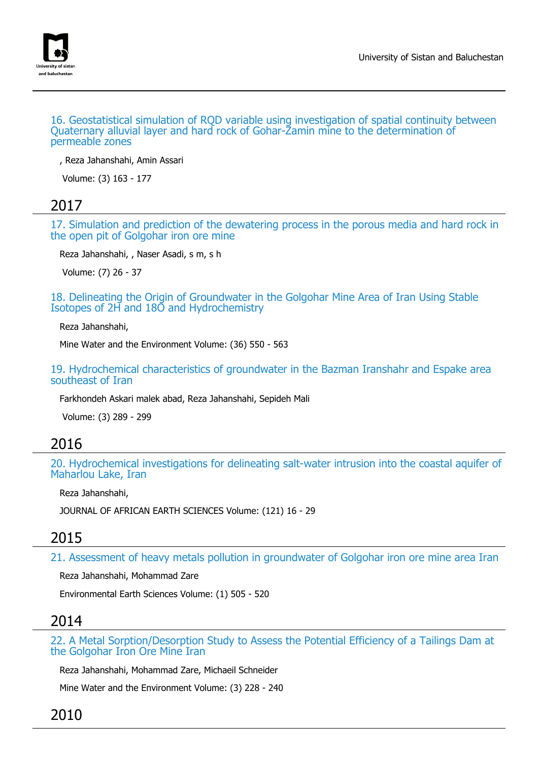

16. Geostatistical simulation of RQD variable using investigation of spatial continuity between Quaternary alluvial layer and hard rock of Gohar-Zamin mine to the determination of permeable zones

, Reza Jahanshahi, Amin Assari

Volume: (3) 163 - 177

## 2017

17. Simulation and prediction of the dewatering process in the porous media and hard rock in the open pit of Golgohar iron ore mine

Reza Jahanshahi, , Naser Asadi, s m, s h

Volume: (7) 26 - 37

18. Delineating the Origin of Groundwater in the Golgohar Mine Area of Iran Using Stable Isotopes of 2H and 18O and Hydrochemistry

Reza Jahanshahi,

Mine Water and the Environment Volume: (36) 550 - 563

19. Hydrochemical characteristics of groundwater in the Bazman Iranshahr and Espake area southeast of Iran

Farkhondeh Askari malek abad, Reza Jahanshahi, Sepideh Mali

Volume: (3) 289 - 299

## 2016

20. Hydrochemical investigations for delineating salt-water intrusion into the coastal aquifer of Maharlou Lake, Iran

Reza Jahanshahi,

JOURNAL OF AFRICAN EARTH SCIENCES Volume: (121) 16 - 29

### 2015

21. Assessment of heavy metals pollution in groundwater of Golgohar iron ore mine area Iran

Reza Jahanshahi, Mohammad Zare

Environmental Earth Sciences Volume: (1) 505 - 520

## 2014

22. A Metal Sorption/Desorption Study to Assess the Potential Efficiency of a Tailings Dam at the Golgohar Iron Ore Mine Iran

Reza Jahanshahi, Mohammad Zare, Michaeil Schneider

Mine Water and the Environment Volume: (3) 228 - 240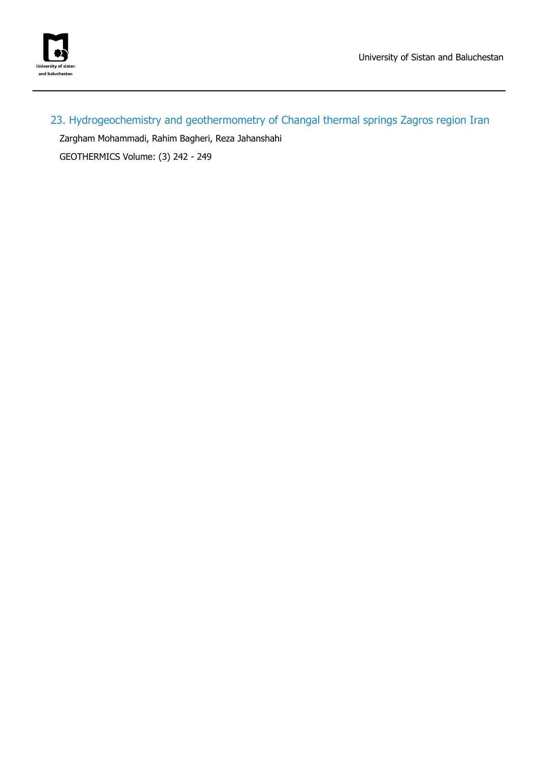

23. Hydrogeochemistry and geothermometry of Changal thermal springs Zagros region Iran

Zargham Mohammadi, Rahim Bagheri, Reza Jahanshahi

GEOTHERMICS Volume: (3) 242 - 249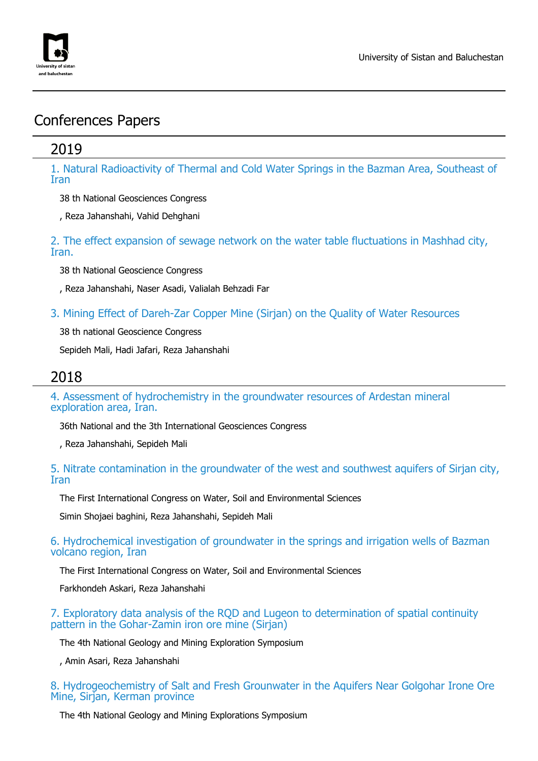

# Conferences Papers

# 2019

1. Natural Radioactivity of Thermal and Cold Water Springs in the Bazman Area, Southeast of Iran

38 th National Geosciences Congress

, Reza Jahanshahi, Vahid Dehghani

2. The effect expansion of sewage network on the water table fluctuations in Mashhad city, Iran.

38 th National Geoscience Congress

, Reza Jahanshahi, Naser Asadi, Valialah Behzadi Far

3. Mining Effect of Dareh-Zar Copper Mine (Sirjan) on the Quality of Water Resources

38 th national Geoscience Congress

Sepideh Mali, Hadi Jafari, Reza Jahanshahi

# 2018

4. Assessment of hydrochemistry in the groundwater resources of Ardestan mineral exploration area, Iran.

36th National and the 3th International Geosciences Congress

, Reza Jahanshahi, Sepideh Mali

5. Nitrate contamination in the groundwater of the west and southwest aquifers of Sirjan city, Iran

The First International Congress on Water, Soil and Environmental Sciences

Simin Shojaei baghini, Reza Jahanshahi, Sepideh Mali

6. Hydrochemical investigation of groundwater in the springs and irrigation wells of Bazman volcano region, Iran

The First International Congress on Water, Soil and Environmental Sciences

Farkhondeh Askari, Reza Jahanshahi

7. Exploratory data analysis of the RQD and Lugeon to determination of spatial continuity pattern in the Gohar-Zamin iron ore mine (Sirjan)

The 4th National Geology and Mining Exploration Symposium

, Amin Asari, Reza Jahanshahi

8. Hydrogeochemistry of Salt and Fresh Grounwater in the Aquifers Near Golgohar Irone Ore Mine, Sirjan, Kerman province

The 4th National Geology and Mining Explorations Symposium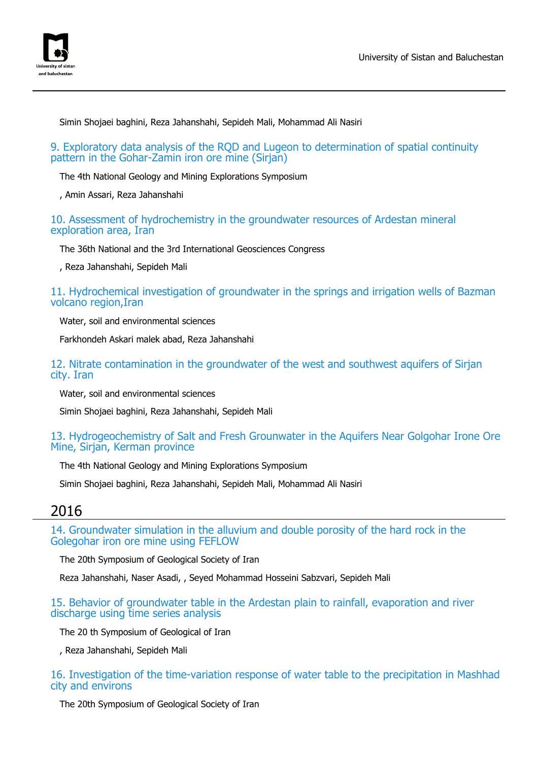

Simin Shojaei baghini, Reza Jahanshahi, Sepideh Mali, Mohammad Ali Nasiri

#### 9. Exploratory data analysis of the RQD and Lugeon to determination of spatial continuity pattern in the Gohar-Zamin iron ore mine (Sirjan)

The 4th National Geology and Mining Explorations Symposium

, Amin Assari, Reza Jahanshahi

10. Assessment of hydrochemistry in the groundwater resources of Ardestan mineral exploration area, Iran

The 36th National and the 3rd International Geosciences Congress

, Reza Jahanshahi, Sepideh Mali

11. Hydrochemical investigation of groundwater in the springs and irrigation wells of Bazman volcano region,Iran

Water, soil and environmental sciences

Farkhondeh Askari malek abad, Reza Jahanshahi

12. Nitrate contamination in the groundwater of the west and southwest aquifers of Sirjan city. Iran

Water, soil and environmental sciences

Simin Shojaei baghini, Reza Jahanshahi, Sepideh Mali

#### 13. Hydrogeochemistry of Salt and Fresh Grounwater in the Aquifers Near Golgohar Irone Ore Mine, Sirjan, Kerman province

The 4th National Geology and Mining Explorations Symposium

Simin Shojaei baghini, Reza Jahanshahi, Sepideh Mali, Mohammad Ali Nasiri

## 2016

14. Groundwater simulation in the alluvium and double porosity of the hard rock in the Golegohar iron ore mine using FEFLOW

The 20th Symposium of Geological Society of Iran

Reza Jahanshahi, Naser Asadi, , Seyed Mohammad Hosseini Sabzvari, Sepideh Mali

15. Behavior of groundwater table in the Ardestan plain to rainfall, evaporation and river discharge using time series analysis

The 20 th Symposium of Geological of Iran

, Reza Jahanshahi, Sepideh Mali

#### 16. Investigation of the time-variation response of water table to the precipitation in Mashhad city and environs

The 20th Symposium of Geological Society of Iran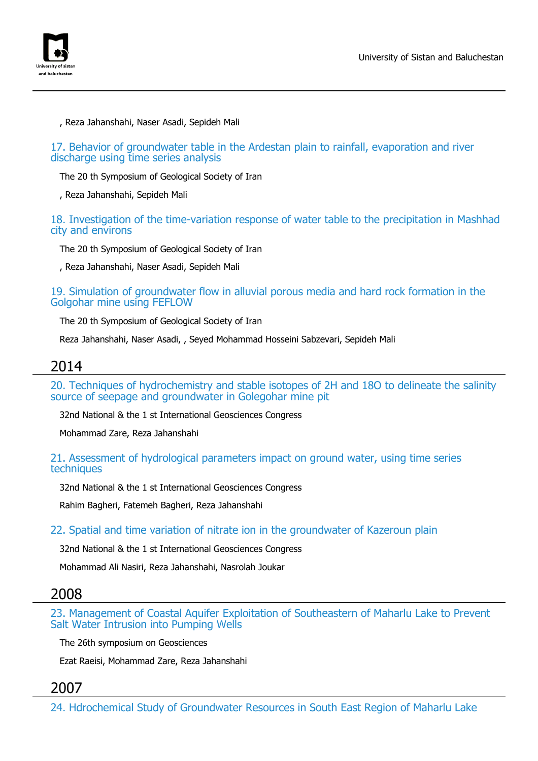

, Reza Jahanshahi, Naser Asadi, Sepideh Mali

17. Behavior of groundwater table in the Ardestan plain to rainfall, evaporation and river discharge using time series analysis

The 20 th Symposium of Geological Society of Iran

, Reza Jahanshahi, Sepideh Mali

18. Investigation of the time-variation response of water table to the precipitation in Mashhad city and environs

The 20 th Symposium of Geological Society of Iran

, Reza Jahanshahi, Naser Asadi, Sepideh Mali

19. Simulation of groundwater flow in alluvial porous media and hard rock formation in the Golgohar mine using FEFLOW

The 20 th Symposium of Geological Society of Iran

Reza Jahanshahi, Naser Asadi, , Seyed Mohammad Hosseini Sabzevari, Sepideh Mali

## 2014

20. Techniques of hydrochemistry and stable isotopes of 2H and 18O to delineate the salinity source of seepage and groundwater in Golegohar mine pit

32nd National & the 1 st International Geosciences Congress

Mohammad Zare, Reza Jahanshahi

21. Assessment of hydrological parameters impact on ground water, using time series techniques

32nd National & the 1 st International Geosciences Congress

Rahim Bagheri, Fatemeh Bagheri, Reza Jahanshahi

22. Spatial and time variation of nitrate ion in the groundwater of Kazeroun plain

32nd National & the 1 st International Geosciences Congress

Mohammad Ali Nasiri, Reza Jahanshahi, Nasrolah Joukar

### 2008

23. Management of Coastal Aquifer Exploitation of Southeastern of Maharlu Lake to Prevent Salt Water Intrusion into Pumping Wells

The 26th symposium on Geosciences

Ezat Raeisi, Mohammad Zare, Reza Jahanshahi

## 2007

24. Hdrochemical Study of Groundwater Resources in South East Region of Maharlu Lake